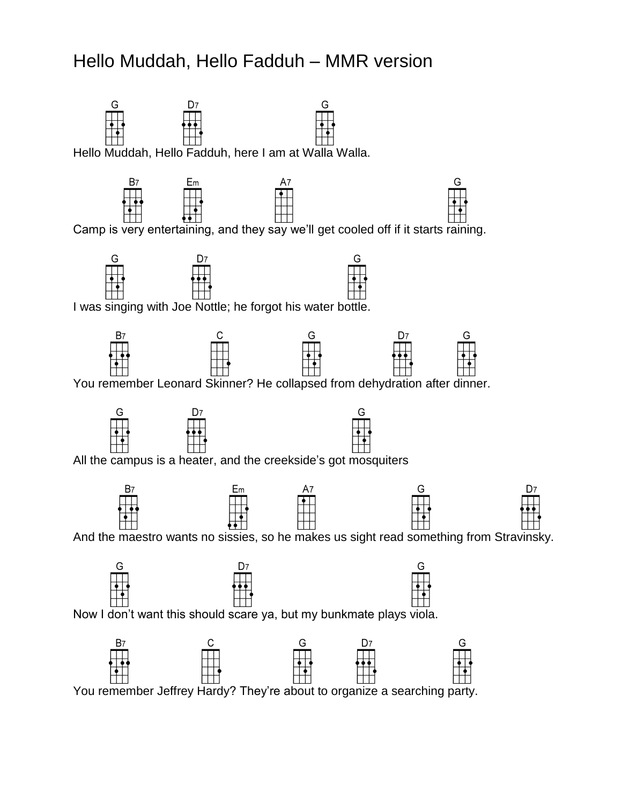## Hello Muddah, Hello Fadduh – MMR version